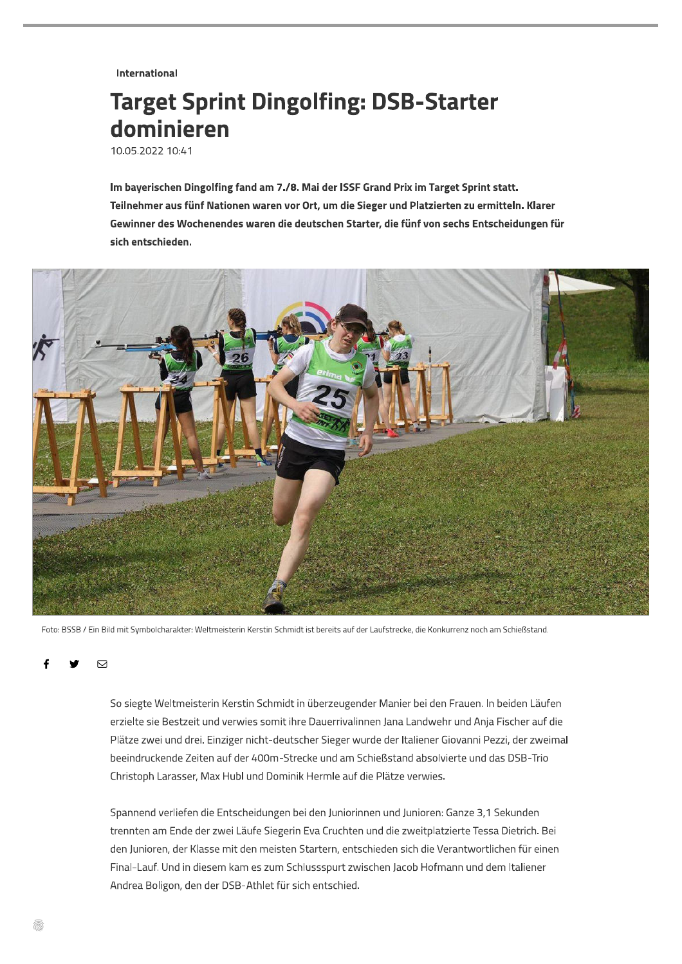**International** 

## **Target Sprint Dingolfing: DSB-Starter** dominieren

10.05.2022 10:41

Im bayerischen Dingolfing fand am 7./8. Mai der ISSF Grand Prix im Target Sprint statt. Teilnehmer aus fünf Nationen waren vor Ort, um die Sieger und Platzierten zu ermitteln. Klarer Gewinner des Wochenendes waren die deutschen Starter, die fünf von sechs Entscheidungen für sich entschieden.



Foto: BSSB / Ein Bild mit Symbolcharakter: Weltmeisterin Kerstin Schmidt ist bereits auf der Laufstrecke, die Konkurrenz noch am Schießstand.

 $\Box$ 

So siegte Weltmeisterin Kerstin Schmidt in überzeugender Manier bei den Frauen. In beiden Läufen erzielte sie Bestzeit und verwies somit ihre Dauerrivalinnen Jana Landwehr und Anja Fischer auf die Plätze zwei und drei. Einziger nicht-deutscher Sieger wurde der Italiener Giovanni Pezzi, der zweimal beeindruckende Zeiten auf der 400m-Strecke und am Schießstand absolvierte und das DSB-Trio Christoph Larasser, Max Hubl und Dominik Hermle auf die Plätze verwies.

Spannend verliefen die Entscheidungen bei den Juniorinnen und Junioren: Ganze 3,1 Sekunden trennten am Ende der zwei Läufe Siegerin Eva Cruchten und die zweitplatzierte Tessa Dietrich. Bei den Junioren, der Klasse mit den meisten Startern, entschieden sich die Verantwortlichen für einen Final-Lauf. Und in diesem kam es zum Schlussspurt zwischen Jacob Hofmann und dem Italiener Andrea Boligon, den der DSB-Athlet für sich entschied.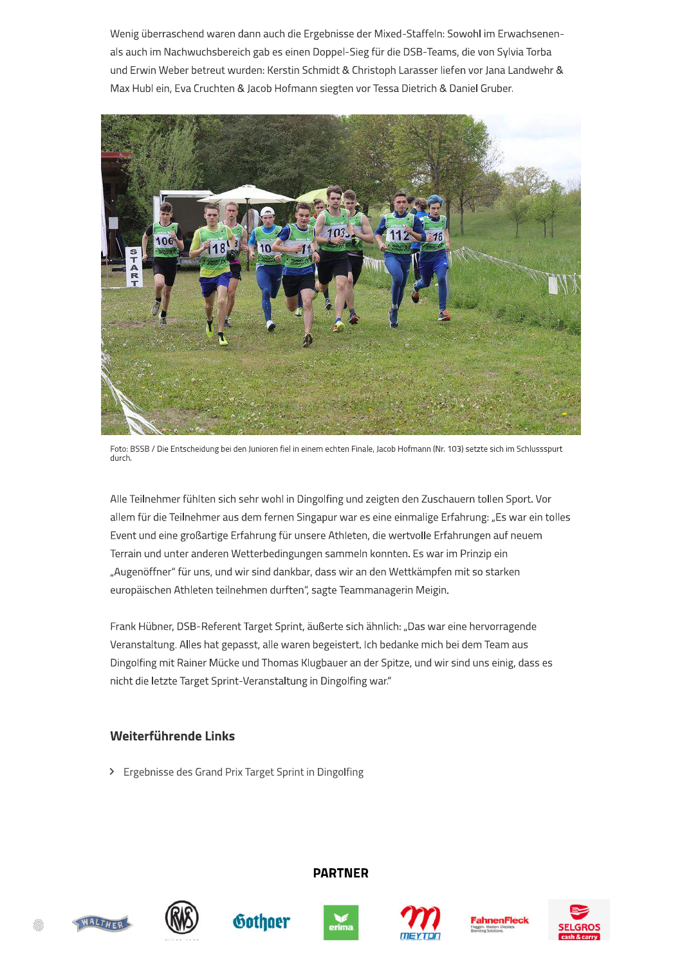Wenig überraschend waren dann auch die Ergebnisse der Mixed-Staffeln: Sowohl im Erwachsenenals auch im Nachwuchsbereich gab es einen Doppel-Sieg für die DSB-Teams, die von Sylvia Torba und Erwin Weber betreut wurden: Kerstin Schmidt & Christoph Larasser liefen vor Jana Landwehr & Max Hubl ein, Eva Cruchten & Jacob Hofmann siegten vor Tessa Dietrich & Daniel Gruber.



Foto: BSSB / Die Entscheidung bei den Junioren fiel in einem echten Finale, Jacob Hofmann (Nr. 103) setzte sich im Schlussspurt durch.

Alle Teilnehmer fühlten sich sehr wohl in Dingolfing und zeigten den Zuschauern tollen Sport. Vor allem für die Teilnehmer aus dem fernen Singapur war es eine einmalige Erfahrung: "Es war ein tolles Event und eine großartige Erfahrung für unsere Athleten, die wertvolle Erfahrungen auf neuem Terrain und unter anderen Wetterbedingungen sammeln konnten. Es war im Prinzip ein "Augenöffner" für uns, und wir sind dankbar, dass wir an den Wettkämpfen mit so starken europäischen Athleten teilnehmen durften", sagte Teammanagerin Meigin.

Frank Hübner, DSB-Referent Target Sprint, äußerte sich ähnlich: "Das war eine hervorragende Veranstaltung. Alles hat gepasst, alle waren begeistert. Ich bedanke mich bei dem Team aus Dingolfing mit Rainer Mücke und Thomas Klugbauer an der Spitze, und wir sind uns einig, dass es nicht die letzte Target Sprint-Veranstaltung in Dingolfing war."

## Weiterführende Links

> Ergebnisse des Grand Prix Target Sprint in Dingolfing

Gothoer